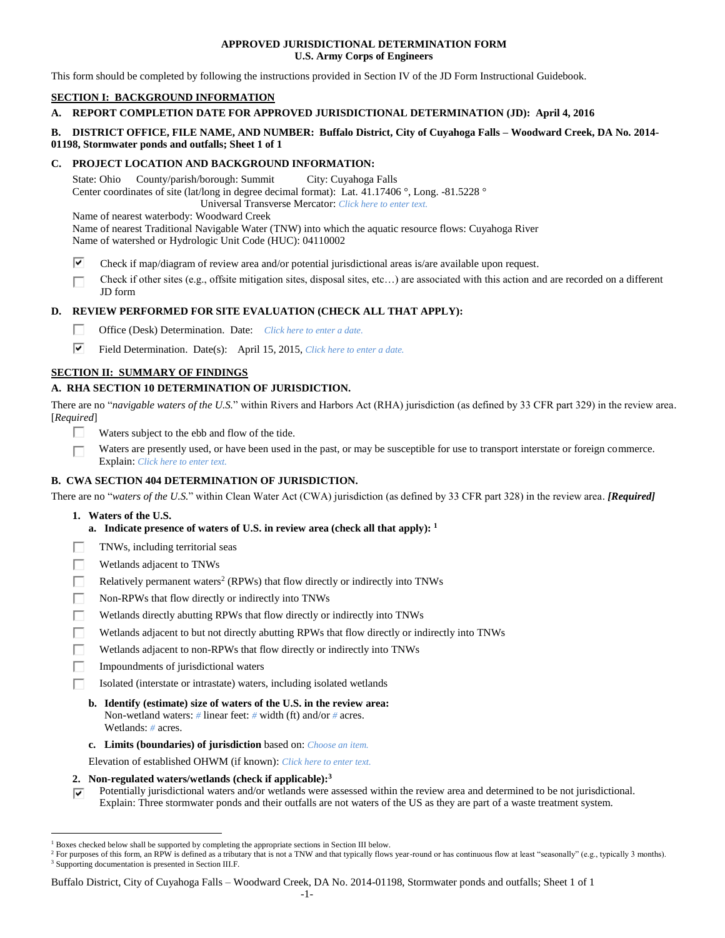#### **APPROVED JURISDICTIONAL DETERMINATION FORM U.S. Army Corps of Engineers**

This form should be completed by following the instructions provided in Section IV of the JD Form Instructional Guidebook.

# **SECTION I: BACKGROUND INFORMATION**

# **A. REPORT COMPLETION DATE FOR APPROVED JURISDICTIONAL DETERMINATION (JD): April 4, 2016**

# **B. DISTRICT OFFICE, FILE NAME, AND NUMBER: Buffalo District, City of Cuyahoga Falls – Woodward Creek, DA No. 2014- 01198, Stormwater ponds and outfalls; Sheet 1 of 1**

# **C. PROJECT LOCATION AND BACKGROUND INFORMATION:**

State: Ohio County/parish/borough: Summit City: Cuyahoga Falls Center coordinates of site (lat/long in degree decimal format): Lat. 41.17406 °, Long. -81.5228 ° Universal Transverse Mercator: *Click here to enter text.* Name of nearest waterbody: Woodward Creek

Name of nearest Traditional Navigable Water (TNW) into which the aquatic resource flows: Cuyahoga River Name of watershed or Hydrologic Unit Code (HUC): 04110002

- ⊽ Check if map/diagram of review area and/or potential jurisdictional areas is/are available upon request.
- Check if other sites (e.g., offsite mitigation sites, disposal sites, etc…) are associated with this action and are recorded on a different JD form

# **D. REVIEW PERFORMED FOR SITE EVALUATION (CHECK ALL THAT APPLY):**

- П Office (Desk) Determination. Date: *Click here to enter a date.*
- ⊽ Field Determination. Date(s): April 15, 2015, *Click here to enter a date.*

# **SECTION II: SUMMARY OF FINDINGS**

# **A. RHA SECTION 10 DETERMINATION OF JURISDICTION.**

There are no "*navigable waters of the U.S.*" within Rivers and Harbors Act (RHA) jurisdiction (as defined by 33 CFR part 329) in the review area. [*Required*]

- $\Box$ Waters subject to the ebb and flow of the tide.
- Waters are presently used, or have been used in the past, or may be susceptible for use to transport interstate or foreign commerce. г Explain: *Click here to enter text.*

# **B. CWA SECTION 404 DETERMINATION OF JURISDICTION.**

There are no "*waters of the U.S.*" within Clean Water Act (CWA) jurisdiction (as defined by 33 CFR part 328) in the review area. *[Required]*

**1. Waters of the U.S.**

 $\overline{a}$ 

- **a. Indicate presence of waters of U.S. in review area (check all that apply): 1**
- TNWs, including territorial seas
- г Wetlands adjacent to TNWs
- Г Relatively permanent waters<sup>2</sup> (RPWs) that flow directly or indirectly into TNWs
- П Non-RPWs that flow directly or indirectly into TNWs
- г Wetlands directly abutting RPWs that flow directly or indirectly into TNWs
- Wetlands adjacent to but not directly abutting RPWs that flow directly or indirectly into TNWs
- П Wetlands adjacent to non-RPWs that flow directly or indirectly into TNWs
- П Impoundments of jurisdictional waters
	- Isolated (interstate or intrastate) waters, including isolated wetlands
	- **b. Identify (estimate) size of waters of the U.S. in the review area:** Non-wetland waters: *#* linear feet: *#* width (ft) and/or *#* acres. Wetlands: *#* acres.
	- **c. Limits (boundaries) of jurisdiction** based on: *Choose an item.*
	- Elevation of established OHWM (if known): *Click here to enter text.*
- **2. Non-regulated waters/wetlands (check if applicable): 3**
- Potentially jurisdictional waters and/or wetlands were assessed within the review area and determined to be not jurisdictional. ঢ Explain: Three stormwater ponds and their outfalls are not waters of the US as they are part of a waste treatment system.

Buffalo District, City of Cuyahoga Falls – Woodward Creek, DA No. 2014-01198, Stormwater ponds and outfalls; Sheet 1 of 1

<sup>1</sup> Boxes checked below shall be supported by completing the appropriate sections in Section III below.

<sup>&</sup>lt;sup>2</sup> For purposes of this form, an RPW is defined as a tributary that is not a TNW and that typically flows year-round or has continuous flow at least "seasonally" (e.g., typically 3 months). <sup>3</sup> Supporting documentation is presented in Section III.F.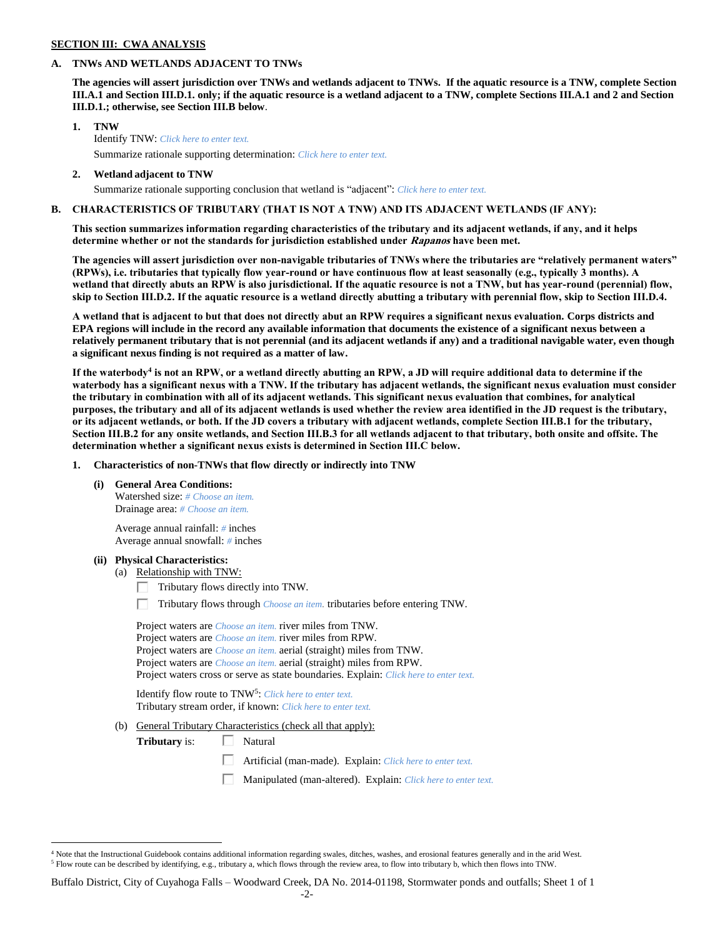#### **SECTION III: CWA ANALYSIS**

#### **A. TNWs AND WETLANDS ADJACENT TO TNWs**

**The agencies will assert jurisdiction over TNWs and wetlands adjacent to TNWs. If the aquatic resource is a TNW, complete Section III.A.1 and Section III.D.1. only; if the aquatic resource is a wetland adjacent to a TNW, complete Sections III.A.1 and 2 and Section III.D.1.; otherwise, see Section III.B below**.

- **1. TNW**  Identify TNW: *Click here to enter text.* Summarize rationale supporting determination: *Click here to enter text.*
- **2. Wetland adjacent to TNW** Summarize rationale supporting conclusion that wetland is "adjacent": *Click here to enter text.*

# **B. CHARACTERISTICS OF TRIBUTARY (THAT IS NOT A TNW) AND ITS ADJACENT WETLANDS (IF ANY):**

# **This section summarizes information regarding characteristics of the tributary and its adjacent wetlands, if any, and it helps determine whether or not the standards for jurisdiction established under Rapanos have been met.**

**The agencies will assert jurisdiction over non-navigable tributaries of TNWs where the tributaries are "relatively permanent waters" (RPWs), i.e. tributaries that typically flow year-round or have continuous flow at least seasonally (e.g., typically 3 months). A wetland that directly abuts an RPW is also jurisdictional. If the aquatic resource is not a TNW, but has year-round (perennial) flow, skip to Section III.D.2. If the aquatic resource is a wetland directly abutting a tributary with perennial flow, skip to Section III.D.4.**

**A wetland that is adjacent to but that does not directly abut an RPW requires a significant nexus evaluation. Corps districts and EPA regions will include in the record any available information that documents the existence of a significant nexus between a relatively permanent tributary that is not perennial (and its adjacent wetlands if any) and a traditional navigable water, even though a significant nexus finding is not required as a matter of law.**

**If the waterbody<sup>4</sup> is not an RPW, or a wetland directly abutting an RPW, a JD will require additional data to determine if the waterbody has a significant nexus with a TNW. If the tributary has adjacent wetlands, the significant nexus evaluation must consider the tributary in combination with all of its adjacent wetlands. This significant nexus evaluation that combines, for analytical purposes, the tributary and all of its adjacent wetlands is used whether the review area identified in the JD request is the tributary, or its adjacent wetlands, or both. If the JD covers a tributary with adjacent wetlands, complete Section III.B.1 for the tributary, Section III.B.2 for any onsite wetlands, and Section III.B.3 for all wetlands adjacent to that tributary, both onsite and offsite. The determination whether a significant nexus exists is determined in Section III.C below.**

**1. Characteristics of non-TNWs that flow directly or indirectly into TNW**

**(i) General Area Conditions:**

Watershed size: *# Choose an item.* Drainage area: *# Choose an item.*

Average annual rainfall: *#* inches Average annual snowfall: *#* inches

#### **(ii) Physical Characteristics:**

 $\overline{a}$ 

- (a) Relationship with TNW:
	- $\Box$  Tributary flows directly into TNW.
	- Tributary flows through *Choose an item.* tributaries before entering TNW.

| Project waters are <i>Choose an item</i> , river miles from TNW.                      |  |
|---------------------------------------------------------------------------------------|--|
| Project waters are <i>Choose an item.</i> river miles from RPW.                       |  |
| Project waters are <i>Choose an item.</i> aerial (straight) miles from TNW.           |  |
| Project waters are <i>Choose an item.</i> aerial (straight) miles from RPW.           |  |
| Project waters cross or serve as state boundaries. Explain: Click here to enter text. |  |

Identify flow route to TNW<sup>5</sup>: Click here to enter text. Tributary stream order, if known: *Click here to enter text.*

(b) General Tributary Characteristics (check all that apply):

**Tributary** is:  $\Box$  Natural

- $\Box$ Artificial (man-made). Explain: *Click here to enter text.*
- Manipulated (man-altered). Explain: *Click here to enter text.*

<sup>&</sup>lt;sup>4</sup> Note that the Instructional Guidebook contains additional information regarding swales, ditches, washes, and erosional features generally and in the arid West. <sup>5</sup> Flow route can be described by identifying, e.g., tributary a, which flows through the review area, to flow into tributary b, which then flows into TNW.

Buffalo District, City of Cuyahoga Falls – Woodward Creek, DA No. 2014-01198, Stormwater ponds and outfalls; Sheet 1 of 1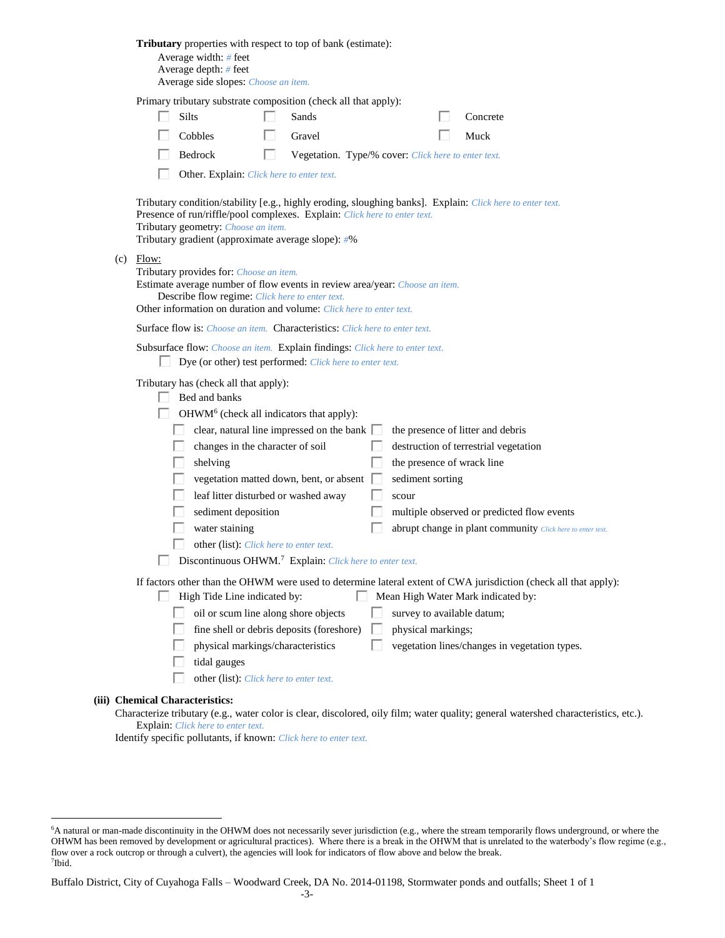|                                                                                                                                                                                                                                                                  |  | <b>Tributary</b> properties with respect to top of bank (estimate):<br>Average width: # feet<br>Average depth: $#$ feet<br>Average side slopes: Choose an item.                                                                                                                                                                                                                                                                                                                                                                                                                                                                                                                                                  |  |  |  |  |  |
|------------------------------------------------------------------------------------------------------------------------------------------------------------------------------------------------------------------------------------------------------------------|--|------------------------------------------------------------------------------------------------------------------------------------------------------------------------------------------------------------------------------------------------------------------------------------------------------------------------------------------------------------------------------------------------------------------------------------------------------------------------------------------------------------------------------------------------------------------------------------------------------------------------------------------------------------------------------------------------------------------|--|--|--|--|--|
|                                                                                                                                                                                                                                                                  |  | Primary tributary substrate composition (check all that apply):<br>Silts<br>Sands<br>Concrete<br>Cobbles<br>Gravel<br>Muck                                                                                                                                                                                                                                                                                                                                                                                                                                                                                                                                                                                       |  |  |  |  |  |
|                                                                                                                                                                                                                                                                  |  | Bedrock<br>L<br>Vegetation. Type/% cover: Click here to enter text.<br>Other. Explain: Click here to enter text.                                                                                                                                                                                                                                                                                                                                                                                                                                                                                                                                                                                                 |  |  |  |  |  |
|                                                                                                                                                                                                                                                                  |  | Tributary condition/stability [e.g., highly eroding, sloughing banks]. Explain: Click here to enter text.<br>Presence of run/riffle/pool complexes. Explain: Click here to enter text.<br>Tributary geometry: Choose an item.<br>Tributary gradient (approximate average slope): #%                                                                                                                                                                                                                                                                                                                                                                                                                              |  |  |  |  |  |
| (c)<br>Flow:<br>Tributary provides for: Choose an item.<br>Estimate average number of flow events in review area/year: Choose an item.<br>Describe flow regime: Click here to enter text.<br>Other information on duration and volume: Click here to enter text. |  |                                                                                                                                                                                                                                                                                                                                                                                                                                                                                                                                                                                                                                                                                                                  |  |  |  |  |  |
|                                                                                                                                                                                                                                                                  |  | <b>Surface flow is:</b> <i>Choose an item.</i> <b>Characteristics:</b> <i>Click here to enter text.</i>                                                                                                                                                                                                                                                                                                                                                                                                                                                                                                                                                                                                          |  |  |  |  |  |
|                                                                                                                                                                                                                                                                  |  | Subsurface flow: Choose an item. Explain findings: Click here to enter text.<br>Dye (or other) test performed: Click here to enter text.                                                                                                                                                                                                                                                                                                                                                                                                                                                                                                                                                                         |  |  |  |  |  |
|                                                                                                                                                                                                                                                                  |  | Tributary has (check all that apply):<br>Bed and banks<br>OHWM <sup>6</sup> (check all indicators that apply):<br>clear, natural line impressed on the bank  <br>the presence of litter and debris<br>changes in the character of soil<br>destruction of terrestrial vegetation<br>shelving<br>the presence of wrack line<br>vegetation matted down, bent, or absent<br>sediment sorting<br>leaf litter disturbed or washed away<br>scour<br>sediment deposition<br>multiple observed or predicted flow events<br>water staining<br>abrupt change in plant community Click here to enter text.<br>other (list): Click here to enter text.<br>Discontinuous OHWM. <sup>7</sup> Explain: Click here to enter text. |  |  |  |  |  |
|                                                                                                                                                                                                                                                                  |  | If factors other than the OHWM were used to determine lateral extent of CWA jurisdiction (check all that apply):<br>High Tide Line indicated by:<br>Mean High Water Mark indicated by:<br>oil or scum line along shore objects<br>survey to available datum;<br>fine shell or debris deposits (foreshore)<br>physical markings;<br>vegetation lines/changes in vegetation types.<br>physical markings/characteristics<br>tidal gauges<br>other (list): Click here to enter text.                                                                                                                                                                                                                                 |  |  |  |  |  |
|                                                                                                                                                                                                                                                                  |  | (iii) Chemical Characteristics:<br>Characterize tributary (e.g., water color is clear, discolored, oily film; water quality; general watershed characteristics, etc.).                                                                                                                                                                                                                                                                                                                                                                                                                                                                                                                                           |  |  |  |  |  |

 $\overline{a}$ 

Explain: *Click here to enter text.*

Identify specific pollutants, if known: *Click here to enter text.*

<sup>6</sup>A natural or man-made discontinuity in the OHWM does not necessarily sever jurisdiction (e.g., where the stream temporarily flows underground, or where the OHWM has been removed by development or agricultural practices). Where there is a break in the OHWM that is unrelated to the waterbody's flow regime (e.g., flow over a rock outcrop or through a culvert), the agencies will look for indicators of flow above and below the break. 7 Ibid.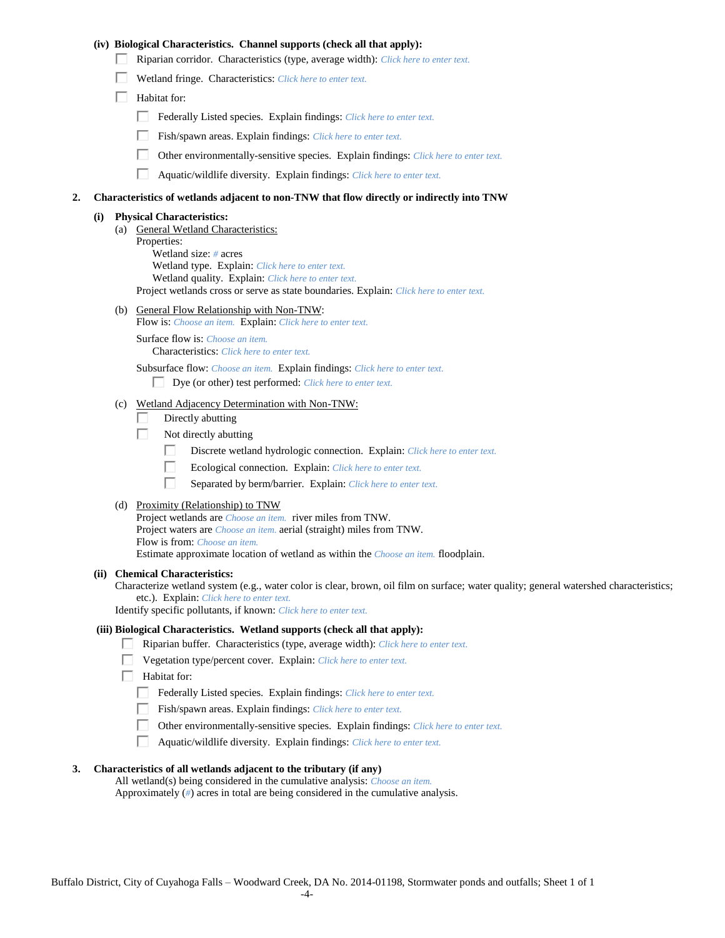#### **(iv) Biological Characteristics. Channel supports (check all that apply):**

- Riparian corridor. Characteristics (type, average width): *Click here to enter text.*
- Wetland fringe. Characteristics: *Click here to enter text.*
- $\Box$  Habitat for:
	- Federally Listed species. Explain findings: *Click here to enter text.*
	- Fish/spawn areas. Explain findings: *Click here to enter text.*
	- $\Box$ Other environmentally-sensitive species. Explain findings: *Click here to enter text.*
	- П Aquatic/wildlife diversity. Explain findings: *Click here to enter text.*

#### **2. Characteristics of wetlands adjacent to non-TNW that flow directly or indirectly into TNW**

#### **(i) Physical Characteristics:**

- (a) General Wetland Characteristics: Properties: Wetland size: *#* acres Wetland type. Explain: *Click here to enter text.* Wetland quality. Explain: *Click here to enter text.* Project wetlands cross or serve as state boundaries. Explain: *Click here to enter text.*
- (b) General Flow Relationship with Non-TNW:
	- Flow is: *Choose an item.* Explain: *Click here to enter text.*

Surface flow is: *Choose an item.* Characteristics: *Click here to enter text.*

Subsurface flow: *Choose an item.* Explain findings: *Click here to enter text.*

Dye (or other) test performed: *Click here to enter text.*

# (c) Wetland Adjacency Determination with Non-TNW:

- П Directly abutting
- Г. Not directly abutting
	- П. Discrete wetland hydrologic connection. Explain: *Click here to enter text.*
	- П. Ecological connection. Explain: *Click here to enter text.*
	- П. Separated by berm/barrier. Explain: *Click here to enter text.*
- (d) Proximity (Relationship) to TNW

Project wetlands are *Choose an item.* river miles from TNW. Project waters are *Choose an item.* aerial (straight) miles from TNW. Flow is from: *Choose an item.* Estimate approximate location of wetland as within the *Choose an item.* floodplain.

#### **(ii) Chemical Characteristics:**

Characterize wetland system (e.g., water color is clear, brown, oil film on surface; water quality; general watershed characteristics; etc.). Explain: *Click here to enter text.*

Identify specific pollutants, if known: *Click here to enter text.*

#### **(iii) Biological Characteristics. Wetland supports (check all that apply):**

- Riparian buffer. Characteristics (type, average width): *Click here to enter text.*
	- Vegetation type/percent cover. Explain: *Click here to enter text.*
- $\Box$  Habitat for:
	- Federally Listed species. Explain findings: *Click here to enter text*.
	- Fish/spawn areas. Explain findings: *Click here to enter text.*
	- Other environmentally-sensitive species. Explain findings: *Click here to enter text.*
	- $\Box$ Aquatic/wildlife diversity. Explain findings: *Click here to enter text.*

#### **3. Characteristics of all wetlands adjacent to the tributary (if any)**

All wetland(s) being considered in the cumulative analysis: *Choose an item.* Approximately (*#*) acres in total are being considered in the cumulative analysis.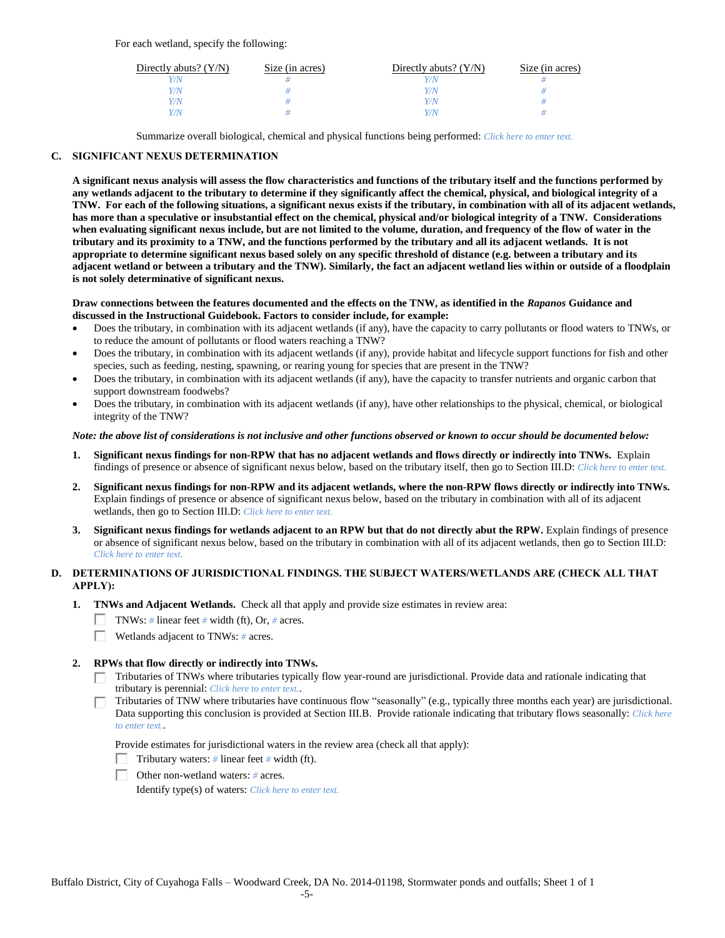For each wetland, specify the following:

| Directly abuts? $(Y/N)$ | Size (in acres) | Directly abuts? $(Y/N)$ | Size (in acres) |
|-------------------------|-----------------|-------------------------|-----------------|
|                         |                 |                         |                 |
| Y/N                     |                 | Y/N                     |                 |
| Y/N                     |                 | $\sqrt{N}$              |                 |
|                         |                 | $\alpha$                |                 |

Summarize overall biological, chemical and physical functions being performed: *Click here to enter text.*

### **C. SIGNIFICANT NEXUS DETERMINATION**

**A significant nexus analysis will assess the flow characteristics and functions of the tributary itself and the functions performed by any wetlands adjacent to the tributary to determine if they significantly affect the chemical, physical, and biological integrity of a TNW. For each of the following situations, a significant nexus exists if the tributary, in combination with all of its adjacent wetlands, has more than a speculative or insubstantial effect on the chemical, physical and/or biological integrity of a TNW. Considerations when evaluating significant nexus include, but are not limited to the volume, duration, and frequency of the flow of water in the tributary and its proximity to a TNW, and the functions performed by the tributary and all its adjacent wetlands. It is not appropriate to determine significant nexus based solely on any specific threshold of distance (e.g. between a tributary and its adjacent wetland or between a tributary and the TNW). Similarly, the fact an adjacent wetland lies within or outside of a floodplain is not solely determinative of significant nexus.** 

#### **Draw connections between the features documented and the effects on the TNW, as identified in the** *Rapanos* **Guidance and discussed in the Instructional Guidebook. Factors to consider include, for example:**

- Does the tributary, in combination with its adjacent wetlands (if any), have the capacity to carry pollutants or flood waters to TNWs, or to reduce the amount of pollutants or flood waters reaching a TNW?
- Does the tributary, in combination with its adjacent wetlands (if any), provide habitat and lifecycle support functions for fish and other species, such as feeding, nesting, spawning, or rearing young for species that are present in the TNW?
- Does the tributary, in combination with its adjacent wetlands (if any), have the capacity to transfer nutrients and organic carbon that support downstream foodwebs?
- Does the tributary, in combination with its adjacent wetlands (if any), have other relationships to the physical, chemical, or biological integrity of the TNW?

#### *Note: the above list of considerations is not inclusive and other functions observed or known to occur should be documented below:*

- **1. Significant nexus findings for non-RPW that has no adjacent wetlands and flows directly or indirectly into TNWs.** Explain findings of presence or absence of significant nexus below, based on the tributary itself, then go to Section III.D: *Click here to enter text.*
- **2. Significant nexus findings for non-RPW and its adjacent wetlands, where the non-RPW flows directly or indirectly into TNWs.**  Explain findings of presence or absence of significant nexus below, based on the tributary in combination with all of its adjacent wetlands, then go to Section III.D: *Click here to enter text.*
- **3. Significant nexus findings for wetlands adjacent to an RPW but that do not directly abut the RPW.** Explain findings of presence or absence of significant nexus below, based on the tributary in combination with all of its adjacent wetlands, then go to Section III.D: *Click here to enter text.*

# **D. DETERMINATIONS OF JURISDICTIONAL FINDINGS. THE SUBJECT WATERS/WETLANDS ARE (CHECK ALL THAT APPLY):**

- **1. TNWs and Adjacent Wetlands.** Check all that apply and provide size estimates in review area:
	- **TNWs:** # linear feet # width (ft), Or, # acres.
	- $\Box$ Wetlands adjacent to TNWs: *#* acres.

# **2. RPWs that flow directly or indirectly into TNWs.**

- Tributaries of TNWs where tributaries typically flow year-round are jurisdictional. Provide data and rationale indicating that tributary is perennial: *Click here to enter text.*.
- Tributaries of TNW where tributaries have continuous flow "seasonally" (e.g., typically three months each year) are jurisdictional. Data supporting this conclusion is provided at Section III.B. Provide rationale indicating that tributary flows seasonally: *Click here to enter text.*.

Provide estimates for jurisdictional waters in the review area (check all that apply):

- Tributary waters: *#* linear feet *#* width (ft).
- Other non-wetland waters: *#* acres.

Identify type(s) of waters: *Click here to enter text.*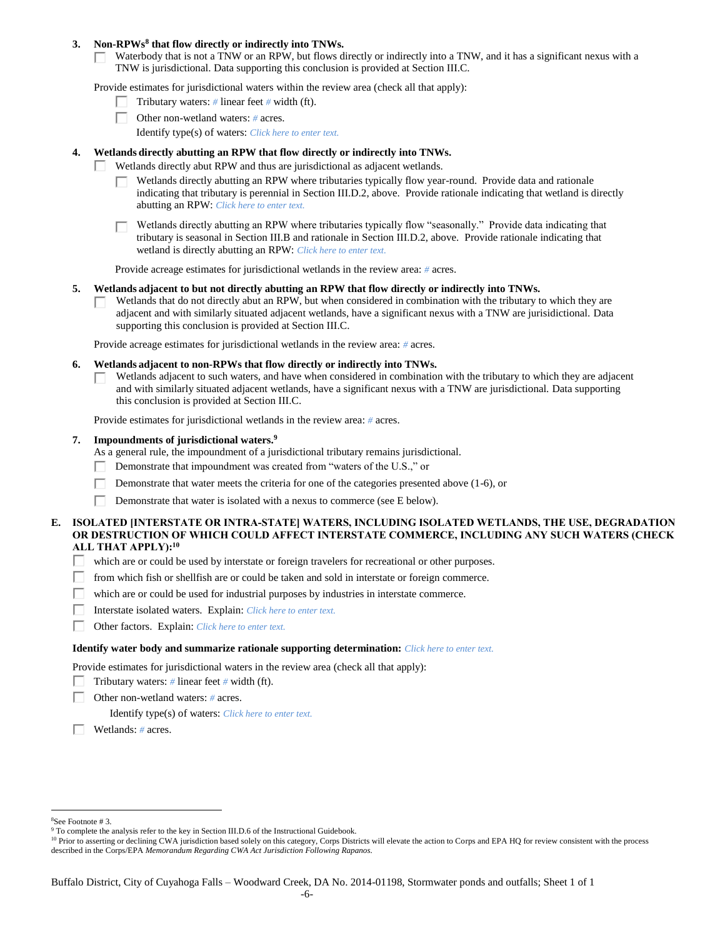#### **3. Non-RPWs<sup>8</sup> that flow directly or indirectly into TNWs.**

Waterbody that is not a TNW or an RPW, but flows directly or indirectly into a TNW, and it has a significant nexus with a  $\Box$ TNW is jurisdictional. Data supporting this conclusion is provided at Section III.C.

Provide estimates for jurisdictional waters within the review area (check all that apply):

- Tributary waters: *#* linear feet *#* width (ft).  $\mathbf{L}$
- Other non-wetland waters: *#* acres.
	- Identify type(s) of waters: *Click here to enter text.*

#### **4. Wetlands directly abutting an RPW that flow directly or indirectly into TNWs.**

- Wetlands directly abut RPW and thus are jurisdictional as adjacent wetlands. п
	- Wetlands directly abutting an RPW where tributaries typically flow year-round. Provide data and rationale indicating that tributary is perennial in Section III.D.2, above. Provide rationale indicating that wetland is directly abutting an RPW: *Click here to enter text.*

Wetlands directly abutting an RPW where tributaries typically flow "seasonally." Provide data indicating that tributary is seasonal in Section III.B and rationale in Section III.D.2, above. Provide rationale indicating that wetland is directly abutting an RPW: *Click here to enter text.*

Provide acreage estimates for jurisdictional wetlands in the review area: *#* acres.

#### **5. Wetlands adjacent to but not directly abutting an RPW that flow directly or indirectly into TNWs.**

Wetlands that do not directly abut an RPW, but when considered in combination with the tributary to which they are  $\mathbf{I}$ adjacent and with similarly situated adjacent wetlands, have a significant nexus with a TNW are jurisidictional. Data supporting this conclusion is provided at Section III.C.

Provide acreage estimates for jurisdictional wetlands in the review area: *#* acres.

- **6. Wetlands adjacent to non-RPWs that flow directly or indirectly into TNWs.** 
	- Wetlands adjacent to such waters, and have when considered in combination with the tributary to which they are adjacent П and with similarly situated adjacent wetlands, have a significant nexus with a TNW are jurisdictional. Data supporting this conclusion is provided at Section III.C.

Provide estimates for jurisdictional wetlands in the review area: *#* acres.

#### **7. Impoundments of jurisdictional waters. 9**

As a general rule, the impoundment of a jurisdictional tributary remains jurisdictional.

- п Demonstrate that impoundment was created from "waters of the U.S.," or
- Demonstrate that water meets the criteria for one of the categories presented above (1-6), or
- Г Demonstrate that water is isolated with a nexus to commerce (see E below).

### **E. ISOLATED [INTERSTATE OR INTRA-STATE] WATERS, INCLUDING ISOLATED WETLANDS, THE USE, DEGRADATION OR DESTRUCTION OF WHICH COULD AFFECT INTERSTATE COMMERCE, INCLUDING ANY SUCH WATERS (CHECK ALL THAT APPLY):<sup>10</sup>**

- Π. which are or could be used by interstate or foreign travelers for recreational or other purposes.
- from which fish or shellfish are or could be taken and sold in interstate or foreign commerce. П.
- П which are or could be used for industrial purposes by industries in interstate commerce.
- П. Interstate isolated waters.Explain: *Click here to enter text.*
- П. Other factors.Explain: *Click here to enter text.*

#### **Identify water body and summarize rationale supporting determination:** *Click here to enter text.*

Provide estimates for jurisdictional waters in the review area (check all that apply):

- Tributary waters:  $\#$  linear feet  $\#$  width (ft).
- г Other non-wetland waters: *#* acres.

Identify type(s) of waters: *Click here to enter text.*

Wetlands: *#* acres.

 $\overline{a}$ <sup>8</sup>See Footnote # 3.

<sup>&</sup>lt;sup>9</sup> To complete the analysis refer to the key in Section III.D.6 of the Instructional Guidebook.

<sup>&</sup>lt;sup>10</sup> Prior to asserting or declining CWA jurisdiction based solely on this category, Corps Districts will elevate the action to Corps and EPA HQ for review consistent with the process described in the Corps/EPA *Memorandum Regarding CWA Act Jurisdiction Following Rapanos.*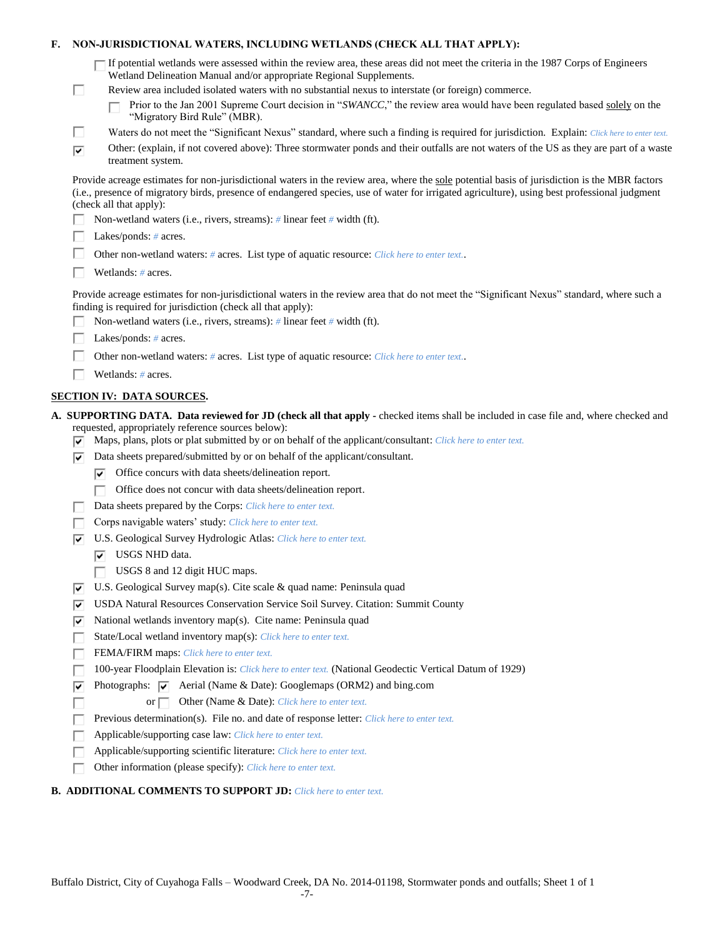### **F. NON-JURISDICTIONAL WATERS, INCLUDING WETLANDS (CHECK ALL THAT APPLY):**

| $\Box$ If potential wetlands were assessed within the review area, these areas did not meet the criteria in the 1987 Corps of Engineers |  |
|-----------------------------------------------------------------------------------------------------------------------------------------|--|
| Wetland Delineation Manual and/or appropriate Regional Supplements.                                                                     |  |

- Review area included isolated waters with no substantial nexus to interstate (or foreign) commerce.
	- Prior to the Jan 2001 Supreme Court decision in "*SWANCC*," the review area would have been regulated based solely on the г "Migratory Bird Rule" (MBR).
- П Waters do not meet the "Significant Nexus" standard, where such a finding is required for jurisdiction. Explain: *Click here to enter text.*
- Other: (explain, if not covered above): Three stormwater ponds and their outfalls are not waters of the US as they are part of a waste  $\overline{\mathbf{v}}$ treatment system.

Provide acreage estimates for non-jurisdictional waters in the review area, where the sole potential basis of jurisdiction is the MBR factors (i.e., presence of migratory birds, presence of endangered species, use of water for irrigated agriculture), using best professional judgment (check all that apply):

- Non-wetland waters (i.e., rivers, streams): *#* linear feet *#* width (ft).
- П. Lakes/ponds: *#* acres.

П

- П. Other non-wetland waters: *#* acres. List type of aquatic resource: *Click here to enter text.*.
- П. Wetlands: *#* acres.

Provide acreage estimates for non-jurisdictional waters in the review area that do not meet the "Significant Nexus" standard, where such a finding is required for jurisdiction (check all that apply):

- П. Non-wetland waters (i.e., rivers, streams): *#* linear feet *#* width (ft).
- Lakes/ponds: *#* acres. Г
- П. Other non-wetland waters: *#* acres. List type of aquatic resource: *Click here to enter text.*.
- П Wetlands: *#* acres.

# **SECTION IV: DATA SOURCES.**

**A. SUPPORTING DATA. Data reviewed for JD (check all that apply -** checked items shall be included in case file and, where checked and requested, appropriately reference sources below):

- Maps, plans, plots or plat submitted by or on behalf of the applicant/consultant: *Click here to enter text.*
- $\nabla$  Data sheets prepared/submitted by or on behalf of the applicant/consultant.
	- $\triangledown$  Office concurs with data sheets/delineation report.
	- Office does not concur with data sheets/delineation report.
- Data sheets prepared by the Corps: *Click here to enter text.*
- Corps navigable waters' study: *Click here to enter text.* п.
- U.S. Geological Survey Hydrologic Atlas: *Click here to enter text.*
	- $|\overline{\mathbf{v}}|$  USGS NHD data.

Г

- $\Box$  USGS 8 and 12 digit HUC maps.
- $\overline{v}$  U.S. Geological Survey map(s). Cite scale & quad name: Peninsula quad
- USDA Natural Resources Conservation Service Soil Survey. Citation: Summit County
- National wetlands inventory map(s). Cite name: Peninsula quad ⊽⊹
- State/Local wetland inventory map(s): *Click here to enter text.* П.
- FEMA/FIRM maps: *Click here to enter text.* п.
- 100-year Floodplain Elevation is: *Click here to enter text.* (National Geodectic Vertical Datum of 1929) Г
- ⊽ Photographs:  $\overline{\blacktriangledown}$  Aerial (Name & Date): Googlemaps (ORM2) and bing.com
	- or **Other (Name & Date):** *Click here to enter text.*
- Previous determination(s). File no. and date of response letter: *Click here to enter text.* г
- Applicable/supporting case law: *Click here to enter text.* Г
- Applicable/supporting scientific literature: *Click here to enter text.* Г
- п Other information (please specify): *Click here to enter text.*

# **B. ADDITIONAL COMMENTS TO SUPPORT JD:** *Click here to enter text.*